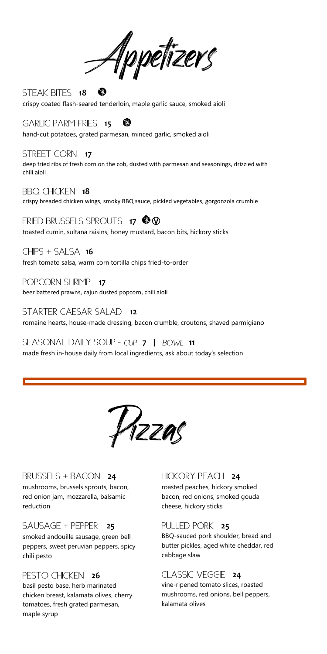Appetizers

**18 STEAK BITES** O crispy coated flash-seared tenderloin, maple garlic sauce, smoked aioli

**6ARLIC PARM FRIES 15** ®

hand-cut potatoes, grated parmesan, minced garlic, smoked aioli

**STREET CORN 17** deep fried ribs of fresh corn on the cob, dusted with parmesan and seasonings, drizzled with chili aioli

**BBQ CHICKEN 18** crispy breaded chicken wings, smoky BBQ sauce, pickled vegetables, gorgonzola crumble

**17** Ⓥ toasted cumin, sultana raisins, honey mustard, bacon bits, hickory sticks

 $CHIPS + SALSA$  **16** fresh tomato salsa, warm corn tortilla chips fried-to-order

**POPCORN SHRIMP 17** beer battered prawns, cajun dusted popcorn, chili aioli

**STARTER CAESAR SALAD 12** romaine hearts, house-made dressing, bacon crumble, croutons, shaved parmigiano

**SEASONAL DAILY SOUP - CUP 7 | BOWL 11** made fresh in-house daily from local ingredients, ask about today's selection

Pizzas

### **BRUSSELS + BACON 24**

mushrooms, brussels sprouts, bacon, red onion jam, mozzarella, balsamic reduction

### **SAUSAGE + PEPPER 25**

smoked andouille sausage, green bell peppers, sweet peruvian peppers, spicy chili pesto

# **PESTO CHICKEN 26**

basil pesto base, herb marinated chicken breast, kalamata olives, cherry tomatoes, fresh grated parmesan, maple syrup

### **HICKORY PEACH 24**

roasted peaches, hickory smoked bacon, red onions, smoked gouda cheese, hickory sticks

### PULLED PORK 25

BBQ-sauced pork shoulder, bread and butter pickles, aged white cheddar, red cabbage slaw

# CLASSIC VEGGIE 24

vine-ripened tomato slices, roasted mushrooms, red onions, bell peppers, kalamata olives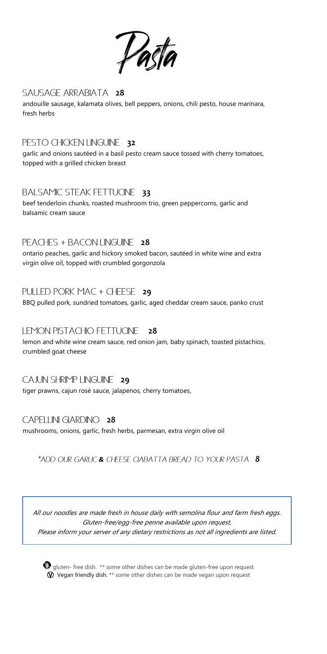

### SAUSAGE ARRABIATA 28

andouille sausage, kalamata olives, bell peppers, onions, chili pesto, house marinara, fresh herbs

# PESTO CHICKEN LINGUINE 32

garlic and onions sautéed in a basil pesto cream sauce tossed with cherry tomatoes, topped with a grilled chicken breast

### **BALSAMIC STEAK FETTUCINE 33**

beef tenderloin chunks, roasted mushroom trio, green peppercorns, garlic and balsamic cream sauce

# PEACHES + BACON LINGUINE 28

ontario peaches, garlic and hickory smoked bacon, sautéed in white wine and extra virgin olive oil, topped with crumbled gorgonzola

# PULLED PORK MAC + CHEESE 29

BBQ pulled pork, sundried tomatoes, garlic, aged cheddar cream sauce, panko crust

### LEMON PISTACHIO FETTUCINE **28**

lemon and white wine cream sauce, red onion jam, baby spinach, toasted pistachios, crumbled goat cheese

### CAJUN SHRIMP LINGUINE 29

tiger prawns, cajun rosé sauce, jalapenos, cherry tomatoes,

### CAPELLINI GIARDINO 28

mushrooms, onions, garlic, fresh herbs, parmesan, extra virgin olive oil

\*ADD OUR GARLIC & CHEESE CIABATTA BREAD TO YOUR PASTA 8

All our noodles are made fresh in house daily with semolina flour and farm fresh eggs. Gluten-free/egg-free penne available upon request. Please inform your server of any dietary restrictions as not all ingredients are listed.

 $\bullet$  qluten- free dish. \*\* some other dishes can be made gluten-free upon request  $\textcircled{V}$  Vegan friendly dish. \*\* some other dishes can be made vegan upon request